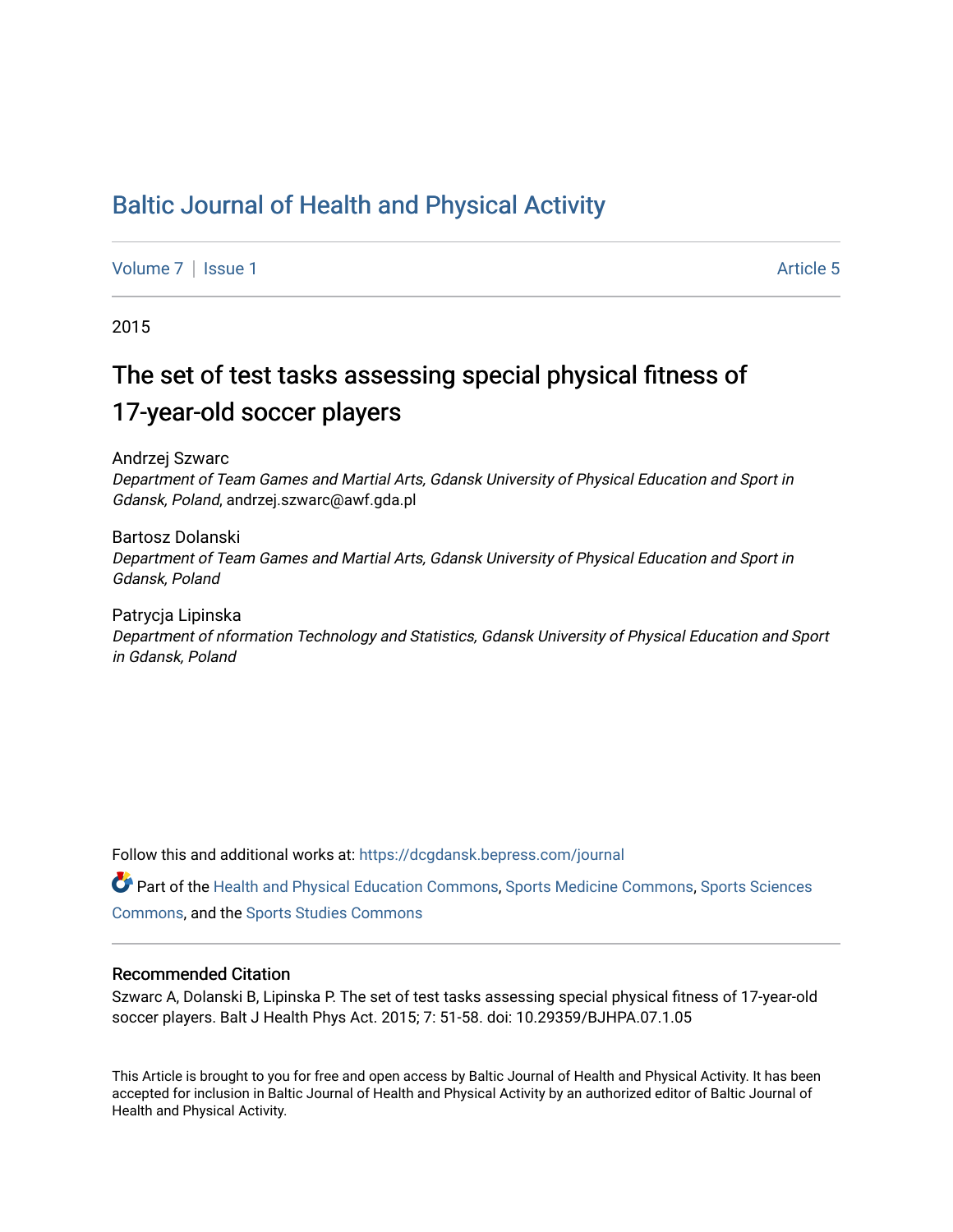# [Baltic Journal of Health and Physical Activity](https://dcgdansk.bepress.com/journal)

[Volume 7](https://dcgdansk.bepress.com/journal/vol7) | [Issue 1](https://dcgdansk.bepress.com/journal/vol7/iss1) Article 5

2015

# The set of test tasks assessing special physical fitness of 17-year-old soccer players

Andrzej Szwarc

Department of Team Games and Martial Arts, Gdansk University of Physical Education and Sport in Gdansk, Poland, andrzej.szwarc@awf.gda.pl

Bartosz Dolanski Department of Team Games and Martial Arts, Gdansk University of Physical Education and Sport in Gdansk, Poland

Patrycja Lipinska Department of nformation Technology and Statistics, Gdansk University of Physical Education and Sport in Gdansk, Poland

Follow this and additional works at: [https://dcgdansk.bepress.com/journal](https://dcgdansk.bepress.com/journal?utm_source=dcgdansk.bepress.com%2Fjournal%2Fvol7%2Fiss1%2F5&utm_medium=PDF&utm_campaign=PDFCoverPages)

Part of the [Health and Physical Education Commons](http://network.bepress.com/hgg/discipline/1327?utm_source=dcgdansk.bepress.com%2Fjournal%2Fvol7%2Fiss1%2F5&utm_medium=PDF&utm_campaign=PDFCoverPages), [Sports Medicine Commons,](http://network.bepress.com/hgg/discipline/1331?utm_source=dcgdansk.bepress.com%2Fjournal%2Fvol7%2Fiss1%2F5&utm_medium=PDF&utm_campaign=PDFCoverPages) [Sports Sciences](http://network.bepress.com/hgg/discipline/759?utm_source=dcgdansk.bepress.com%2Fjournal%2Fvol7%2Fiss1%2F5&utm_medium=PDF&utm_campaign=PDFCoverPages) [Commons](http://network.bepress.com/hgg/discipline/759?utm_source=dcgdansk.bepress.com%2Fjournal%2Fvol7%2Fiss1%2F5&utm_medium=PDF&utm_campaign=PDFCoverPages), and the [Sports Studies Commons](http://network.bepress.com/hgg/discipline/1198?utm_source=dcgdansk.bepress.com%2Fjournal%2Fvol7%2Fiss1%2F5&utm_medium=PDF&utm_campaign=PDFCoverPages) 

#### Recommended Citation

Szwarc A, Dolanski B, Lipinska P. The set of test tasks assessing special physical fitness of 17-year-old soccer players. Balt J Health Phys Act. 2015; 7: 51-58. doi: 10.29359/BJHPA.07.1.05

This Article is brought to you for free and open access by Baltic Journal of Health and Physical Activity. It has been accepted for inclusion in Baltic Journal of Health and Physical Activity by an authorized editor of Baltic Journal of Health and Physical Activity.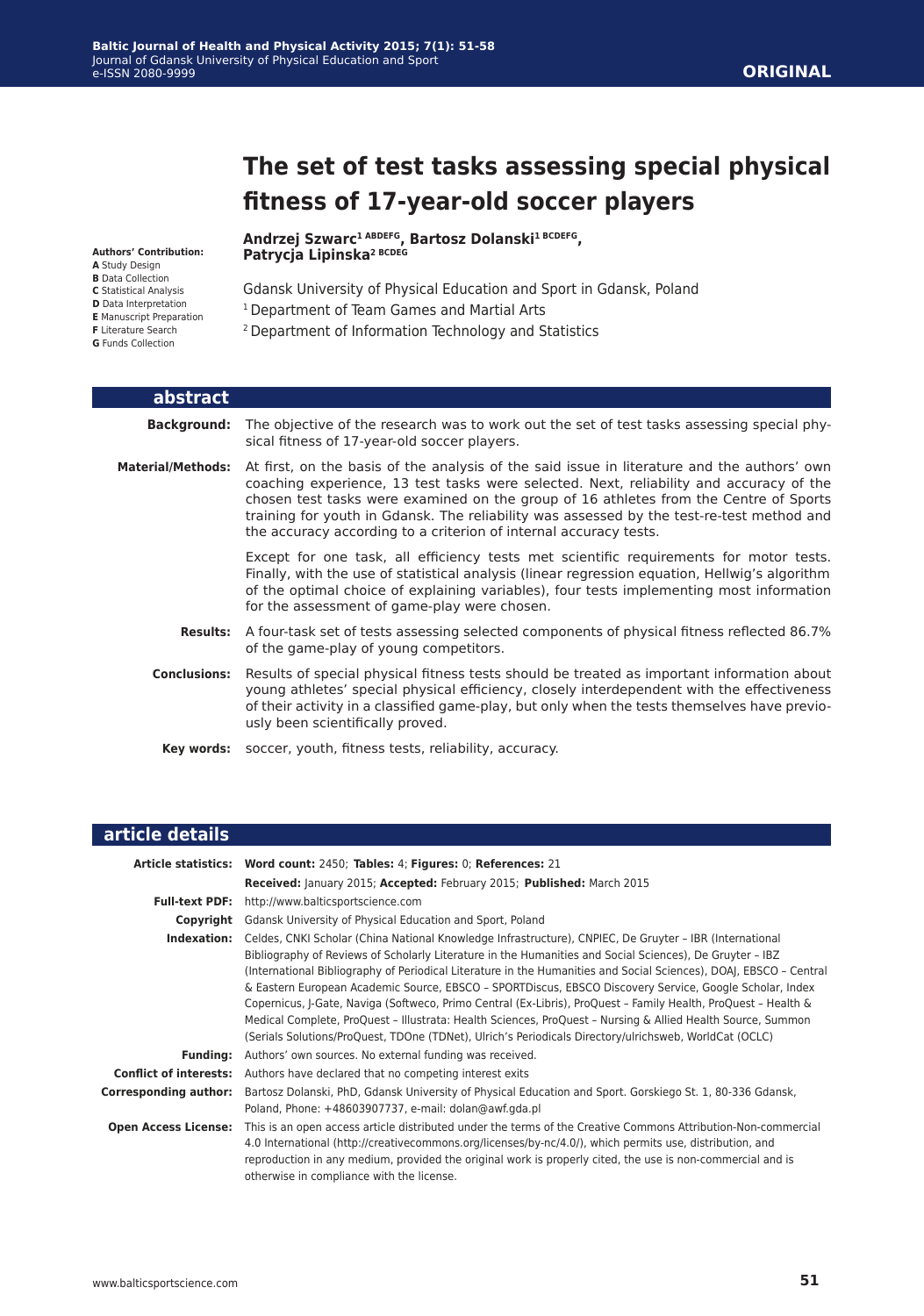**Patrycja Lipinska2 BCDEG**

# **The set of test tasks assessing special physical fitness of 17-year-old soccer players**

#### **Authors' Contribution:**

- **A** Study Design
- **B** Data Collection
- **C** Statistical Analysis **D** Data Interpretation
- **E** Manuscript Preparation
- **F** Literature Search
- **G** Funds Collection

Gdansk University of Physical Education and Sport in Gdansk, Poland

- 1 Department of Team Games and Martial Arts
- 2 Department of Information Technology and Statistics

**Andrzej Szwarc1 ABDEFG, Bartosz Dolanski1 BCDEFG,**

| abstract                 |                                                                                                                                                                                                                                                                                                                                                                                                                                                   |
|--------------------------|---------------------------------------------------------------------------------------------------------------------------------------------------------------------------------------------------------------------------------------------------------------------------------------------------------------------------------------------------------------------------------------------------------------------------------------------------|
|                          | <b>Background:</b> The objective of the research was to work out the set of test tasks assessing special phy-<br>sical fitness of 17-year-old soccer players.                                                                                                                                                                                                                                                                                     |
| <b>Material/Methods:</b> | At first, on the basis of the analysis of the said issue in literature and the authors' own<br>coaching experience, 13 test tasks were selected. Next, reliability and accuracy of the<br>chosen test tasks were examined on the group of 16 athletes from the Centre of Sports<br>training for youth in Gdansk. The reliability was assessed by the test-re-test method and<br>the accuracy according to a criterion of internal accuracy tests. |
|                          | Except for one task, all efficiency tests met scientific requirements for motor tests.<br>Finally, with the use of statistical analysis (linear regression equation, Hellwig's algorithm<br>of the optimal choice of explaining variables), four tests implementing most information<br>for the assessment of game-play were chosen.                                                                                                              |
| <b>Results:</b>          | A four-task set of tests assessing selected components of physical fitness reflected 86.7%<br>of the game-play of young competitors.                                                                                                                                                                                                                                                                                                              |
| <b>Conclusions:</b>      | Results of special physical fitness tests should be treated as important information about<br>young athletes' special physical efficiency, closely interdependent with the effectiveness<br>of their activity in a classified game-play, but only when the tests themselves have previo-<br>usly been scientifically proved.                                                                                                                      |
|                          | <b>Key words:</b> soccer, youth, fitness tests, reliability, accuracy.                                                                                                                                                                                                                                                                                                                                                                            |

| article details               |                                                                                                                                                                                                                                                                                                                                                                                                                                                                                                                                                                                                                                                                                                                                                                                                 |
|-------------------------------|-------------------------------------------------------------------------------------------------------------------------------------------------------------------------------------------------------------------------------------------------------------------------------------------------------------------------------------------------------------------------------------------------------------------------------------------------------------------------------------------------------------------------------------------------------------------------------------------------------------------------------------------------------------------------------------------------------------------------------------------------------------------------------------------------|
|                               | Article statistics: Word count: 2450; Tables: 4; Figures: 0; References: 21                                                                                                                                                                                                                                                                                                                                                                                                                                                                                                                                                                                                                                                                                                                     |
|                               | Received: January 2015; Accepted: February 2015; Published: March 2015                                                                                                                                                                                                                                                                                                                                                                                                                                                                                                                                                                                                                                                                                                                          |
| <b>Full-text PDF:</b>         | http://www.balticsportscience.com                                                                                                                                                                                                                                                                                                                                                                                                                                                                                                                                                                                                                                                                                                                                                               |
| Copyright                     | Gdansk University of Physical Education and Sport, Poland                                                                                                                                                                                                                                                                                                                                                                                                                                                                                                                                                                                                                                                                                                                                       |
| Indexation:                   | Celdes, CNKI Scholar (China National Knowledge Infrastructure), CNPIEC, De Gruyter - IBR (International<br>Bibliography of Reviews of Scholarly Literature in the Humanities and Social Sciences), De Gruyter - IBZ<br>(International Bibliography of Periodical Literature in the Humanities and Social Sciences), DOAJ, EBSCO - Central<br>& Eastern European Academic Source, EBSCO - SPORTDiscus, EBSCO Discovery Service, Google Scholar, Index<br>Copernicus, J-Gate, Naviga (Softweco, Primo Central (Ex-Libris), ProQuest - Family Health, ProQuest - Health &<br>Medical Complete, ProQuest - Illustrata: Health Sciences, ProQuest - Nursing & Allied Health Source, Summon<br>(Serials Solutions/ProQuest, TDOne (TDNet), Ulrich's Periodicals Directory/ulrichsweb, WorldCat (OCLC) |
| <b>Funding:</b>               | Authors' own sources. No external funding was received.                                                                                                                                                                                                                                                                                                                                                                                                                                                                                                                                                                                                                                                                                                                                         |
| <b>Conflict of interests:</b> | Authors have declared that no competing interest exits                                                                                                                                                                                                                                                                                                                                                                                                                                                                                                                                                                                                                                                                                                                                          |
| Corresponding author:         | Bartosz Dolanski, PhD, Gdansk University of Physical Education and Sport. Gorskiego St. 1, 80-336 Gdansk,<br>Poland, Phone: +48603907737, e-mail: dolan@awf.gda.pl                                                                                                                                                                                                                                                                                                                                                                                                                                                                                                                                                                                                                              |
| <b>Open Access License:</b>   | This is an open access article distributed under the terms of the Creative Commons Attribution-Non-commercial<br>4.0 International (http://creativecommons.org/licenses/by-nc/4.0/), which permits use, distribution, and<br>reproduction in any medium, provided the original work is properly cited, the use is non-commercial and is<br>otherwise in compliance with the license.                                                                                                                                                                                                                                                                                                                                                                                                            |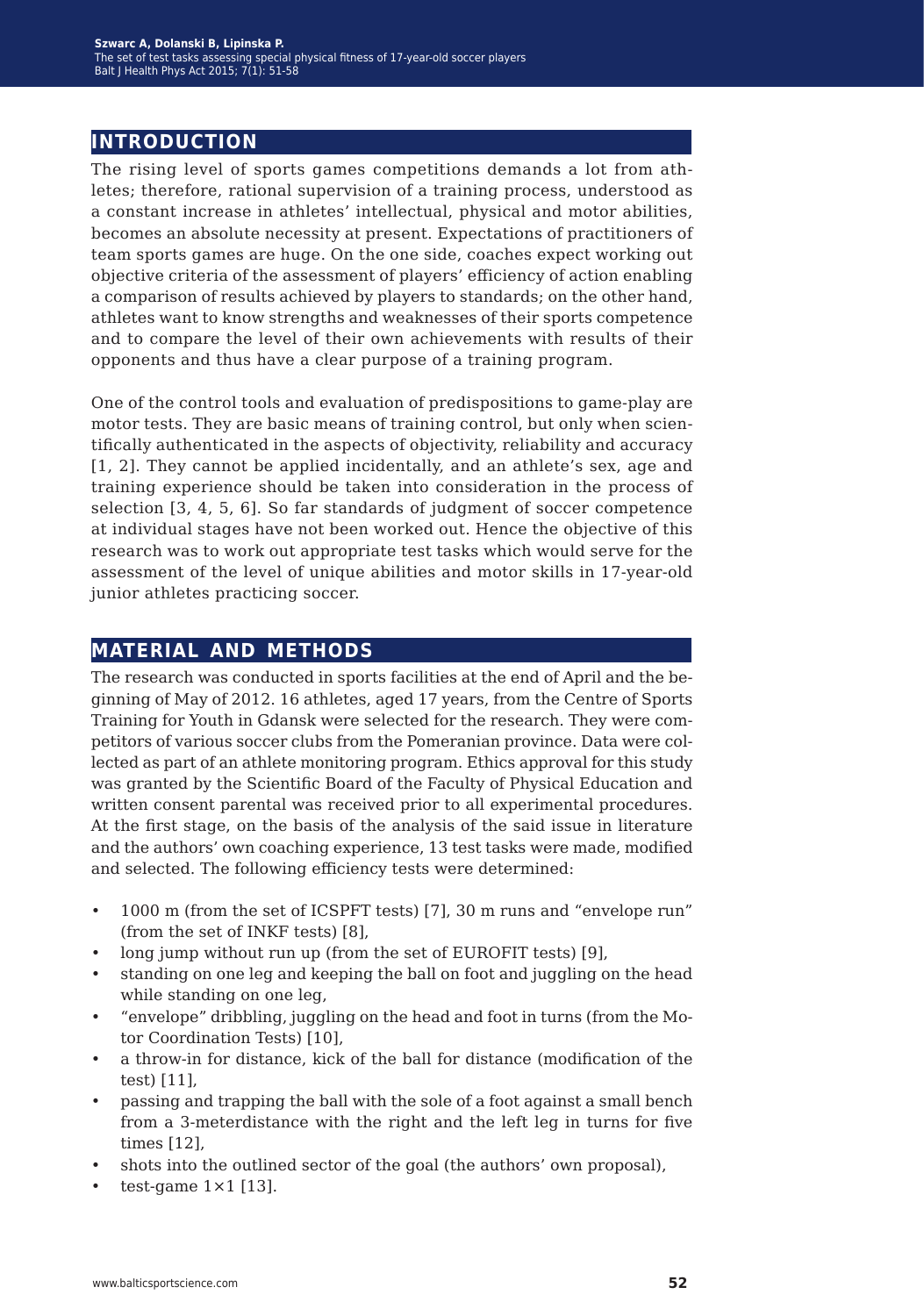# **introduction**

The rising level of sports games competitions demands a lot from athletes; therefore, rational supervision of a training process, understood as a constant increase in athletes' intellectual, physical and motor abilities, becomes an absolute necessity at present. Expectations of practitioners of team sports games are huge. On the one side, coaches expect working out objective criteria of the assessment of players' efficiency of action enabling a comparison of results achieved by players to standards; on the other hand, athletes want to know strengths and weaknesses of their sports competence and to compare the level of their own achievements with results of their opponents and thus have a clear purpose of a training program.

One of the control tools and evaluation of predispositions to game-play are motor tests. They are basic means of training control, but only when scientifically authenticated in the aspects of objectivity, reliability and accuracy [1, 2]. They cannot be applied incidentally, and an athlete's sex, age and training experience should be taken into consideration in the process of selection [3, 4, 5, 6]. So far standards of judgment of soccer competence at individual stages have not been worked out. Hence the objective of this research was to work out appropriate test tasks which would serve for the assessment of the level of unique abilities and motor skills in 17-year-old junior athletes practicing soccer.

# **material and methods**

The research was conducted in sports facilities at the end of April and the beginning of May of 2012. 16 athletes, aged 17 years, from the Centre of Sports Training for Youth in Gdansk were selected for the research. They were competitors of various soccer clubs from the Pomeranian province. Data were collected as part of an athlete monitoring program. Ethics approval for this study was granted by the Scientific Board of the Faculty of Physical Education and written consent parental was received prior to all experimental procedures. At the first stage, on the basis of the analysis of the said issue in literature and the authors' own coaching experience, 13 test tasks were made, modified and selected. The following efficiency tests were determined:

- 1000 m (from the set of ICSPFT tests) [7], 30 m runs and "envelope run" (from the set of INKF tests) [8],
- long jump without run up (from the set of EUROFIT tests) [9],
- standing on one leg and keeping the ball on foot and juggling on the head while standing on one leg,
- "envelope" dribbling, juggling on the head and foot in turns (from the Motor Coordination Tests) [10],
- a throw-in for distance, kick of the ball for distance (modification of the test) [11],
- passing and trapping the ball with the sole of a foot against a small bench from a 3-meterdistance with the right and the left leg in turns for five times [12],
- shots into the outlined sector of the goal (the authors' own proposal),
- test-game  $1 \times 1$  [13].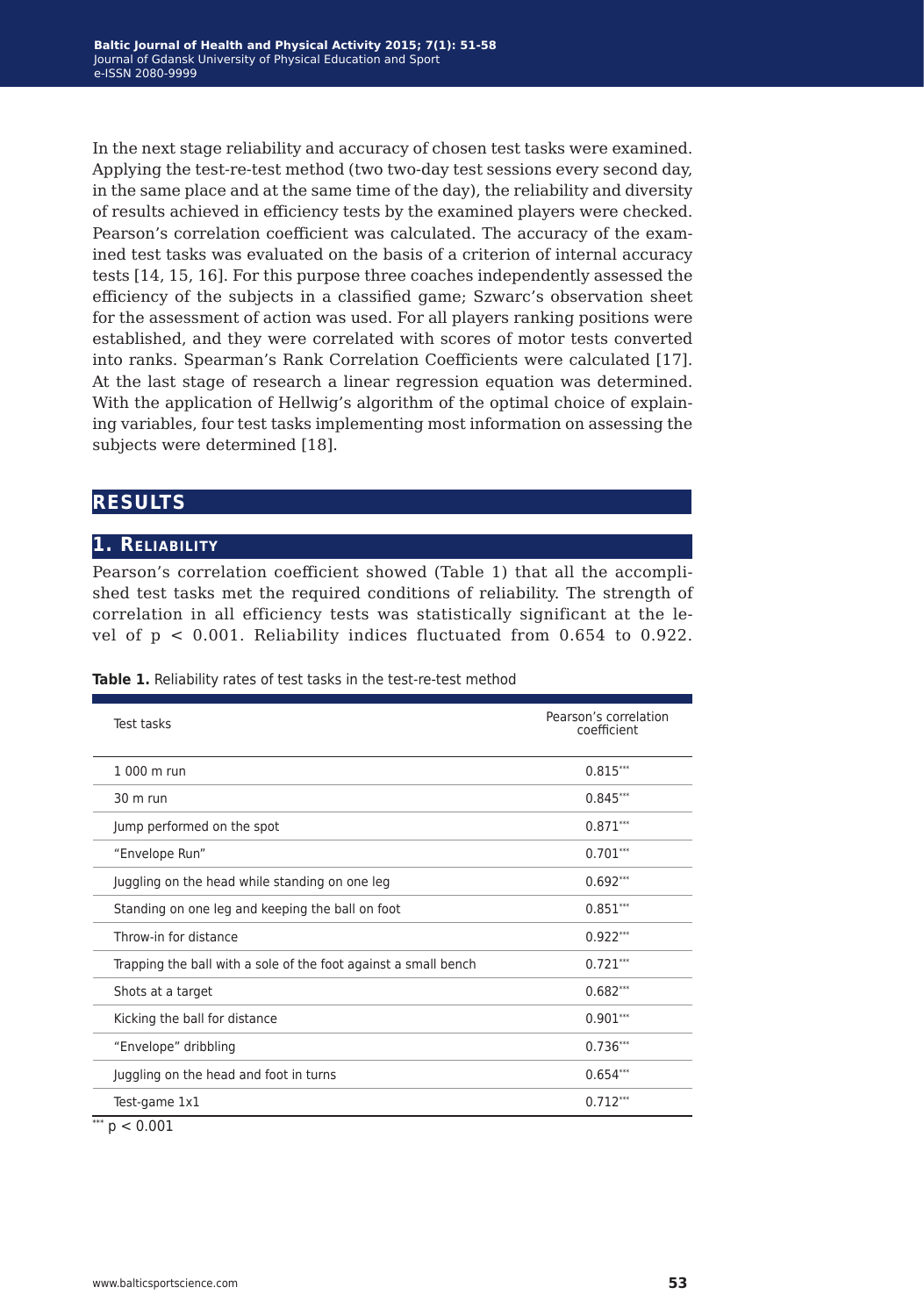In the next stage reliability and accuracy of chosen test tasks were examined. Applying the test-re-test method (two two-day test sessions every second day, in the same place and at the same time of the day), the reliability and diversity of results achieved in efficiency tests by the examined players were checked. Pearson's correlation coefficient was calculated. The accuracy of the examined test tasks was evaluated on the basis of a criterion of internal accuracy tests [14, 15, 16]. For this purpose three coaches independently assessed the efficiency of the subjects in a classified game; Szwarc's observation sheet for the assessment of action was used. For all players ranking positions were established, and they were correlated with scores of motor tests converted into ranks. Spearman's Rank Correlation Coefficients were calculated [17]. At the last stage of research a linear regression equation was determined. With the application of Hellwig's algorithm of the optimal choice of explaining variables, four test tasks implementing most information on assessing the subjects were determined [18].

### **results**

#### **1. Reliability**

Pearson's correlation coefficient showed (Table 1) that all the accomplished test tasks met the required conditions of reliability. The strength of correlation in all efficiency tests was statistically significant at the level of p < 0.001. Reliability indices fluctuated from 0.654 to 0.922.

| <b>Test tasks</b>                                               | Pearson's correlation<br>coefficient |
|-----------------------------------------------------------------|--------------------------------------|
| 1 000 m run                                                     | $0.815***$                           |
| 30 m run                                                        | $0.845***$                           |
| Jump performed on the spot                                      | $0.871***$                           |
| "Envelope Run"                                                  | $0.701***$                           |
| Juggling on the head while standing on one leg                  | $0.692***$                           |
| Standing on one leg and keeping the ball on foot                | $0.851***$                           |
| Throw-in for distance                                           | $0.922***$                           |
| Trapping the ball with a sole of the foot against a small bench | $0.721***$                           |
| Shots at a target                                               | $0.682***$                           |
| Kicking the ball for distance                                   | $0.901***$                           |
| "Envelope" dribbling                                            | $0.736***$                           |
| Juggling on the head and foot in turns                          | $0.654***$                           |
| Test-game 1x1                                                   | $0.712***$                           |
| ***<br>p < 0.001                                                |                                      |

**Table 1.** Reliability rates of test tasks in the test-re-test method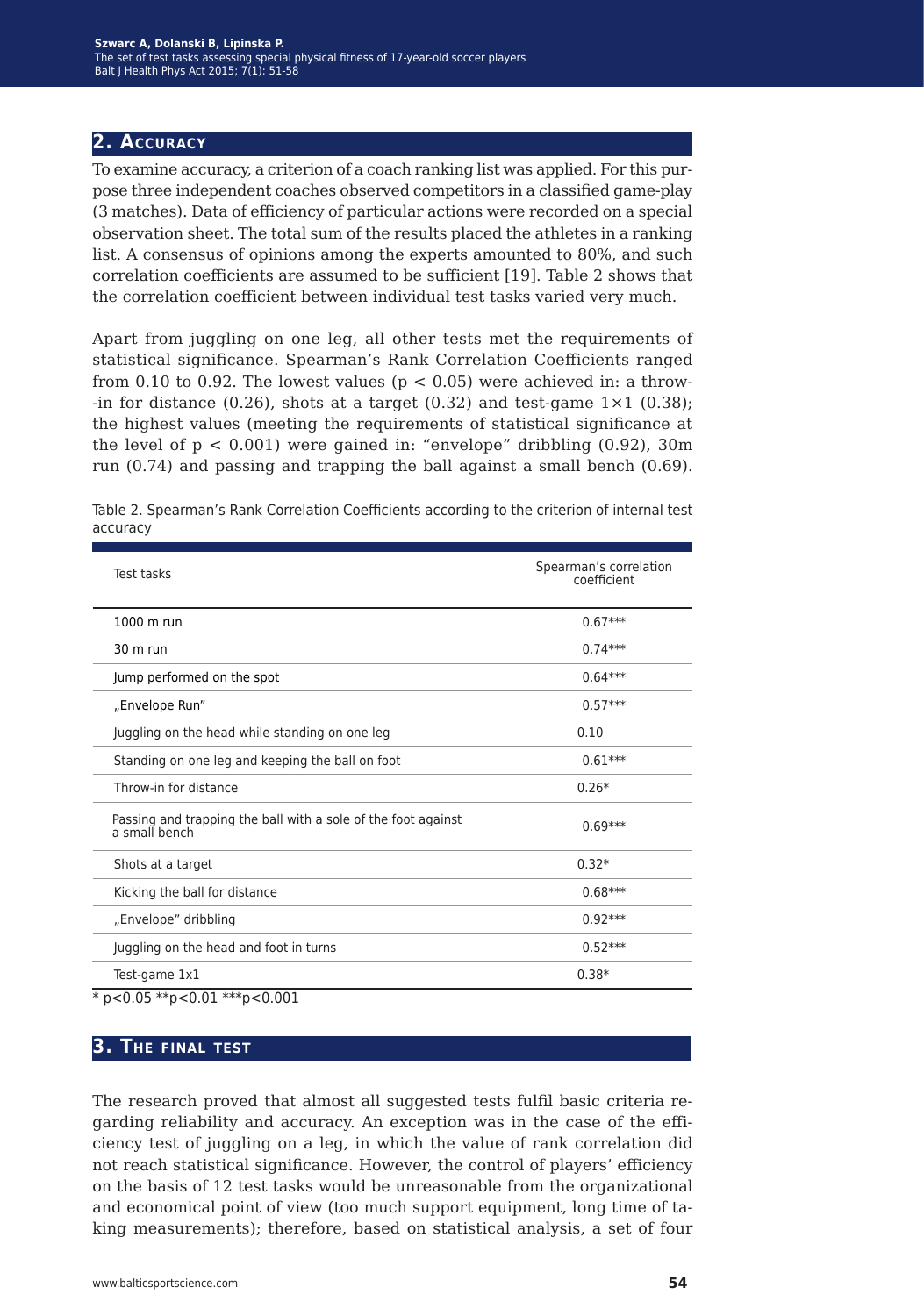### **2. Accuracy**

To examine accuracy, a criterion of a coach ranking list was applied. For this purpose three independent coaches observed competitors in a classified game-play (3 matches). Data of efficiency of particular actions were recorded on a special observation sheet. The total sum of the results placed the athletes in a ranking list. A consensus of opinions among the experts amounted to 80%, and such correlation coefficients are assumed to be sufficient [19]. Table 2 shows that the correlation coefficient between individual test tasks varied very much.

Apart from juggling on one leg, all other tests met the requirements of statistical significance. Spearman's Rank Correlation Coefficients ranged from 0.10 to 0.92. The lowest values ( $p < 0.05$ ) were achieved in: a throw--in for distance (0.26), shots at a target (0.32) and test-game  $1 \times 1$  (0.38); the highest values (meeting the requirements of statistical significance at the level of  $p < 0.001$ ) were gained in: "envelope" dribbling  $(0.92)$ , 30m run (0.74) and passing and trapping the ball against a small bench (0.69).

| Test tasks                                                                     | Spearman's correlation<br>coefficient |
|--------------------------------------------------------------------------------|---------------------------------------|
| 1000 m run                                                                     | $0.67***$                             |
| $30 \text{ m}$ run                                                             | $0.74***$                             |
| Jump performed on the spot                                                     | $0.64***$                             |
| "Envelope Run"                                                                 | $0.57***$                             |
| Juggling on the head while standing on one leg                                 | 0.10                                  |
| Standing on one leg and keeping the ball on foot                               | $0.61***$                             |
| Throw-in for distance                                                          | $0.26*$                               |
| Passing and trapping the ball with a sole of the foot against<br>a small bench | $0.69***$                             |
| Shots at a target                                                              | $0.32*$                               |
| Kicking the ball for distance                                                  | $0.68***$                             |
| "Envelope" dribbling                                                           | $0.92***$                             |
| Juggling on the head and foot in turns                                         | $0.52***$                             |
| Test-game 1x1                                                                  | $0.38*$                               |

Table 2. Spearman's Rank Correlation Coefficients according to the criterion of internal test accuracy

**3. The final test**

The research proved that almost all suggested tests fulfil basic criteria regarding reliability and accuracy. An exception was in the case of the efficiency test of juggling on a leg, in which the value of rank correlation did not reach statistical significance. However, the control of players' efficiency on the basis of 12 test tasks would be unreasonable from the organizational and economical point of view (too much support equipment, long time of taking measurements); therefore, based on statistical analysis, a set of four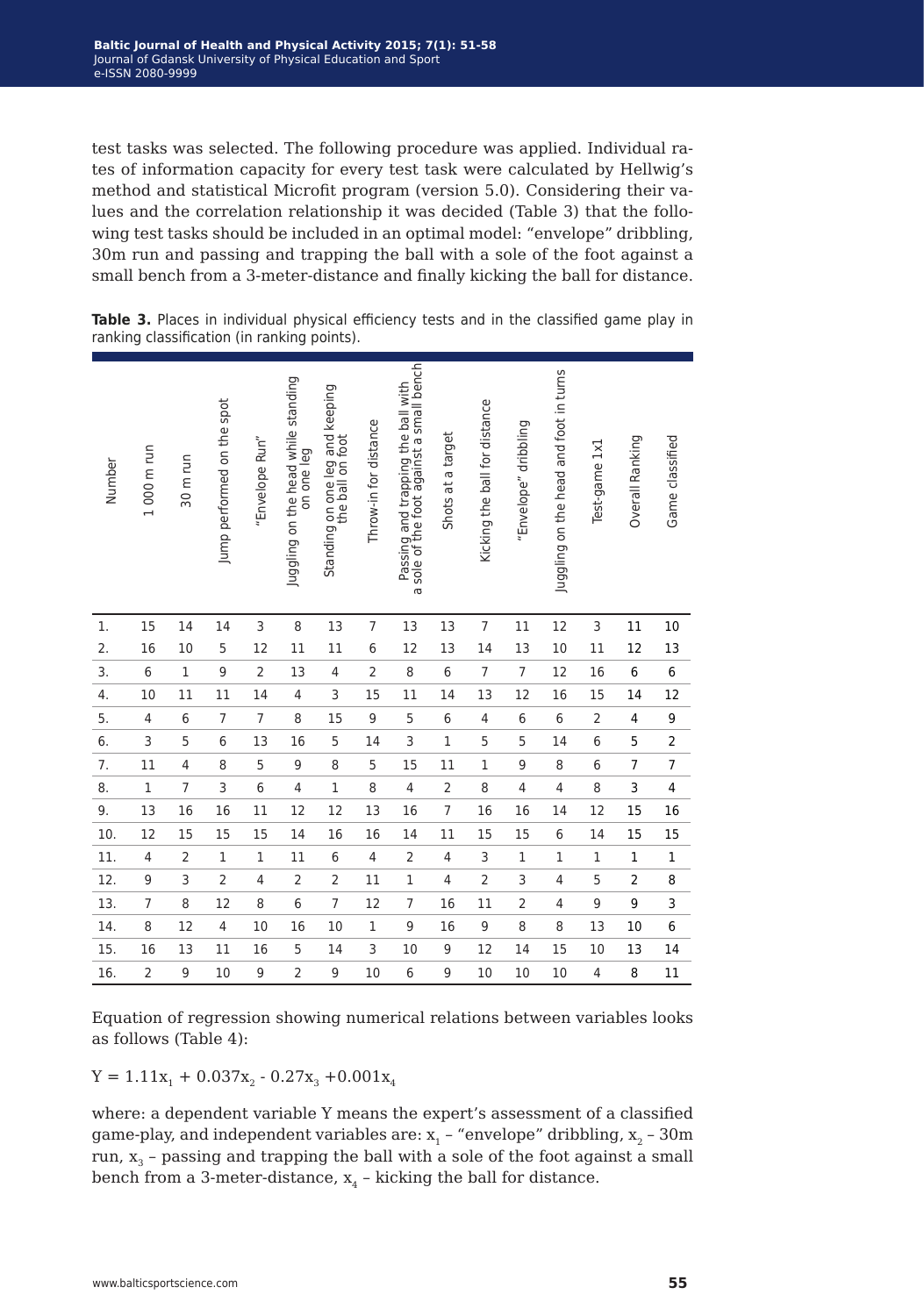test tasks was selected. The following procedure was applied. Individual rates of information capacity for every test task were calculated by Hellwig's method and statistical Microfit program (version 5.0). Considering their values and the correlation relationship it was decided (Table 3) that the following test tasks should be included in an optimal model: "envelope" dribbling, 30m run and passing and trapping the ball with a sole of the foot against a small bench from a 3-meter-distance and finally kicking the ball for distance.

| Number         | 1000 m run     | 30 m run       | Jump performed on the spot | "Envelope Run" | Juggling on the head while standing<br>on one leg | Standing on one leg and keeping<br>the ball on foot | Throw-in for distance    | sole of the foot against a small bench<br>Passing and trapping the ball with<br>ത | Shots at a target | Kicking the ball for distance | "Envelope" dribbling     | Juggling on the head and foot in turns | Test-game 1x1  | Overall Ranking         | Game classified |
|----------------|----------------|----------------|----------------------------|----------------|---------------------------------------------------|-----------------------------------------------------|--------------------------|-----------------------------------------------------------------------------------|-------------------|-------------------------------|--------------------------|----------------------------------------|----------------|-------------------------|-----------------|
| $\mathbf{1}$ . | 15             | 14             | 14                         | 3              | 8                                                 | 13                                                  | 7                        | 13                                                                                | 13                | 7                             | 11                       | 12                                     | 3              | 11                      | 10              |
| 2.             | 16             | 10             | 5                          | 12             | 11                                                | 11                                                  | 6                        | 12                                                                                | 13                | 14                            | 13                       | 10                                     | 11             | 12                      | 13              |
| 3.             | $6\,$          | $\,1$          | 9                          | $\overline{2}$ | 13                                                | 4                                                   | $\overline{2}$           | 8                                                                                 | 6                 | $\overline{7}$                | $\overline{7}$           | 12                                     | 16             | $\,6\,$                 | 6               |
| 4.             | 10             | 11             | 11                         | 14             | $\overline{4}$                                    | 3                                                   | 15                       | 11                                                                                | 14                | 13                            | 12                       | 16                                     | 15             | 14                      | 12              |
| 5.             | $\overline{4}$ | 6              | $\overline{7}$             | $\overline{7}$ | 8                                                 | 15                                                  | 9                        | 5                                                                                 | 6                 | 4                             | 6                        | 6                                      | $\overline{2}$ | 4                       | 9               |
| 6.             | 3              | 5              | 6                          | 13             | 16                                                | 5                                                   | 14                       | 3                                                                                 | $\mathbf{1}$      | 5                             | 5                        | 14                                     | 6              | 5                       | $\overline{c}$  |
| 7.             | 11             | $\overline{4}$ | 8                          | 5              | 9                                                 | 8                                                   | 5                        | 15                                                                                | 11                | $\mathbf{1}$                  | 9                        | 8                                      | 6              | $\overline{7}$          | $\overline{7}$  |
| 8.             | $\mathbf 1$    | $\overline{7}$ | 3                          | $6\phantom{a}$ | 4                                                 | $\mathbf 1$                                         | 8                        | $\overline{\mathbf{4}}$                                                           | $\overline{c}$    | 8                             | $\overline{\mathcal{L}}$ | $\overline{4}$                         | 8              | 3                       | 4               |
| 9.             | 13             | 16             | 16                         | 11             | 12                                                | 12                                                  | 13                       | 16                                                                                | $\overline{7}$    | 16                            | 16                       | 14                                     | 12             | 15                      | 16              |
| 10.            | 12             | 15             | 15                         | 15             | 14                                                | 16                                                  | 16                       | 14                                                                                | 11                | 15                            | 15                       | 6                                      | 14             | 15                      | 15              |
| 11.            | $\overline{4}$ | $\overline{2}$ | $\,1$                      | $\,1$          | 11                                                | 6                                                   | $\overline{\mathcal{L}}$ | $\overline{c}$                                                                    | 4                 | 3                             | $\,1$                    | $\,1$                                  | $\mathbf 1$    | $\mathbf 1$             | $\mathbf 1$     |
| 12.            | 9              | 3              | $\overline{c}$             | $\overline{4}$ | $\overline{c}$                                    | $\mathbf 2$                                         | 11                       | $\,1$                                                                             | $\overline{4}$    | $\overline{2}$                | 3                        | $\overline{4}$                         | 5              | $\overline{\mathbf{c}}$ | 8               |
| 13.            | $\overline{7}$ | 8              | 12                         | 8              | 6                                                 | $\overline{7}$                                      | 12                       | $\overline{7}$                                                                    | 16                | 11                            | $\overline{c}$           | 4                                      | 9              | 9                       | 3               |
| 14.            | 8              | 12             | $\overline{4}$             | 10             | 16                                                | 10                                                  | $\,1$                    | 9                                                                                 | 16                | 9                             | 8                        | 8                                      | 13             | 10                      | 6               |
| 15.            | 16             | 13             | 11                         | 16             | 5                                                 | 14                                                  | 3                        | 10                                                                                | 9                 | 12                            | 14                       | 15                                     | 10             | 13                      | 14              |
| 16.            | $\overline{2}$ | 9              | 10                         | 9              | $\overline{c}$                                    | 9                                                   | 10                       | 6                                                                                 | 9                 | 10                            | 10                       | 10                                     | 4              | 8                       | 11              |

**Table 3.** Places in individual physical efficiency tests and in the classified game play in ranking classification (in ranking points).

Equation of regression showing numerical relations between variables looks as follows (Table 4):

 $Y = 1.11x_1 + 0.037x_2 - 0.27x_3 + 0.001x_4$ 

where: a dependent variable Y means the expert's assessment of a classified game-play, and independent variables are:  $x_1$  – "envelope" dribbling,  $x_2$  – 30m run,  $x_3$  - passing and trapping the ball with a sole of the foot against a small bench from a 3-meter-distance,  $x_4$  – kicking the ball for distance.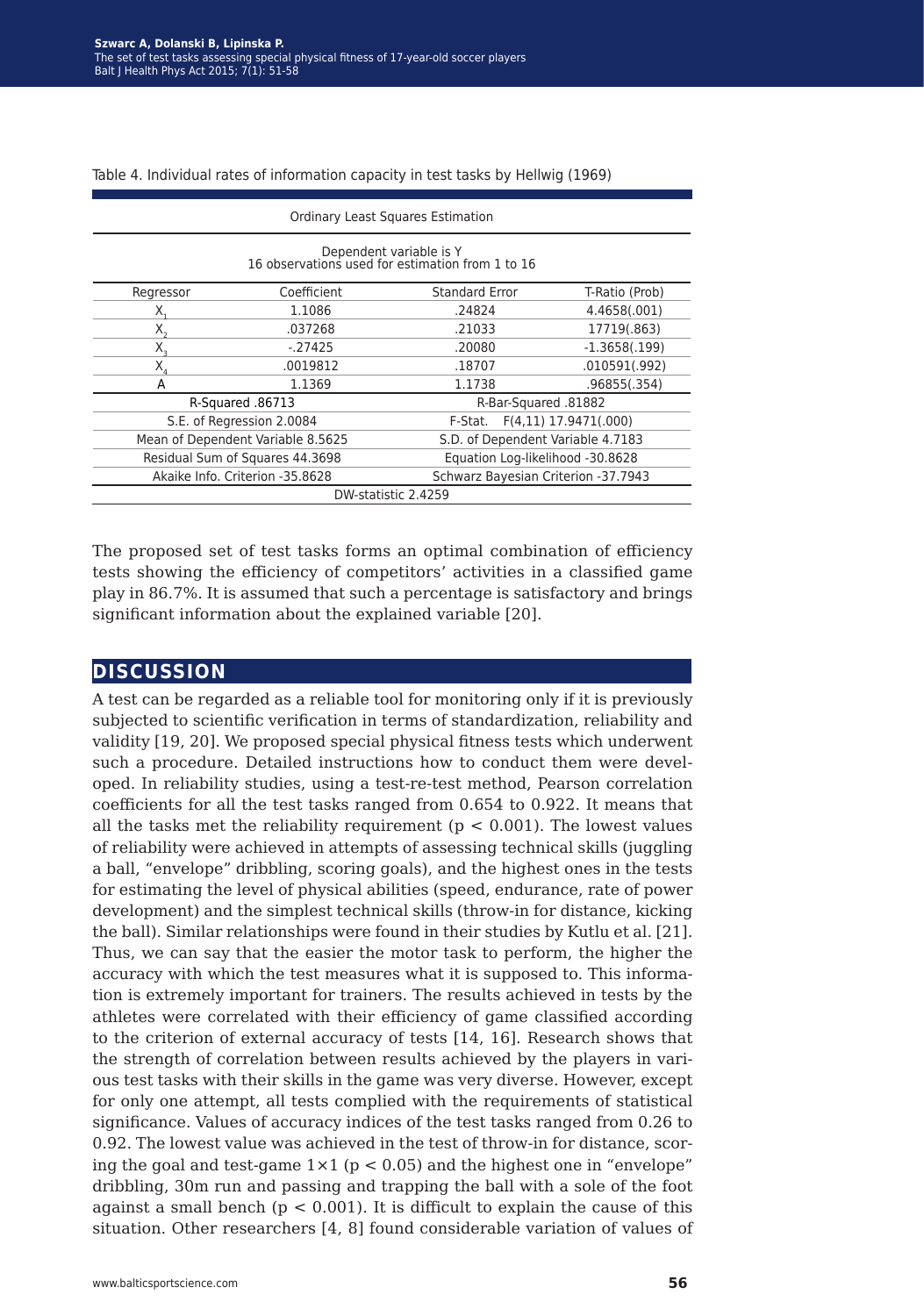Table 4. Individual rates of information capacity in test tasks by Hellwig (1969)

| <b>Ordinary Least Squares Estimation</b>                                    |                                   |                                   |                       |  |  |  |  |  |
|-----------------------------------------------------------------------------|-----------------------------------|-----------------------------------|-----------------------|--|--|--|--|--|
| Dependent variable is Y<br>16 observations used for estimation from 1 to 16 |                                   |                                   |                       |  |  |  |  |  |
| Regressor                                                                   | Coefficient                       | <b>Standard Error</b>             | T-Ratio (Prob)        |  |  |  |  |  |
| Х.                                                                          | 1.1086                            | .24824                            | 4.4658(.001)          |  |  |  |  |  |
| $X_{\gamma}$                                                                | .037268                           | .21033                            | 17719(.863)           |  |  |  |  |  |
| Х,                                                                          | $-27425$                          | .20080                            | $-1.3658(.199)$       |  |  |  |  |  |
| $X_{\scriptscriptstyle A}$                                                  | .0019812                          | .18707                            | .010591(.992)         |  |  |  |  |  |
| A                                                                           | 1.1369                            | 1.1738                            | .96855(.354)          |  |  |  |  |  |
|                                                                             | R-Squared .86713                  | R-Bar-Squared .81882              |                       |  |  |  |  |  |
|                                                                             | S.E. of Regression 2.0084         | F-Stat.                           | F(4,11) 17.9471(.000) |  |  |  |  |  |
|                                                                             | Mean of Dependent Variable 8.5625 | S.D. of Dependent Variable 4.7183 |                       |  |  |  |  |  |
|                                                                             | Residual Sum of Squares 44.3698   | Equation Log-likelihood -30.8628  |                       |  |  |  |  |  |
| Schwarz Bayesian Criterion -37.7943<br>Akaike Info. Criterion -35.8628      |                                   |                                   |                       |  |  |  |  |  |
| DW-statistic 2.4259                                                         |                                   |                                   |                       |  |  |  |  |  |

The proposed set of test tasks forms an optimal combination of efficiency tests showing the efficiency of competitors' activities in a classified game play in 86.7%. It is assumed that such a percentage is satisfactory and brings significant information about the explained variable [20].

### **discussion**

A test can be regarded as a reliable tool for monitoring only if it is previously subjected to scientific verification in terms of standardization, reliability and validity [19, 20]. We proposed special physical fitness tests which underwent such a procedure. Detailed instructions how to conduct them were developed. In reliability studies, using a test-re-test method, Pearson correlation coefficients for all the test tasks ranged from 0.654 to 0.922. It means that all the tasks met the reliability requirement ( $p < 0.001$ ). The lowest values of reliability were achieved in attempts of assessing technical skills (juggling a ball, "envelope" dribbling, scoring goals), and the highest ones in the tests for estimating the level of physical abilities (speed, endurance, rate of power development) and the simplest technical skills (throw-in for distance, kicking the ball). Similar relationships were found in their studies by Kutlu et al. [21]. Thus, we can say that the easier the motor task to perform, the higher the accuracy with which the test measures what it is supposed to. This information is extremely important for trainers. The results achieved in tests by the athletes were correlated with their efficiency of game classified according to the criterion of external accuracy of tests [14, 16]. Research shows that the strength of correlation between results achieved by the players in various test tasks with their skills in the game was very diverse. However, except for only one attempt, all tests complied with the requirements of statistical significance. Values of accuracy indices of the test tasks ranged from 0.26 to 0.92. The lowest value was achieved in the test of throw-in for distance, scoring the goal and test-game  $1 \times 1$  ( $p < 0.05$ ) and the highest one in "envelope" dribbling, 30m run and passing and trapping the ball with a sole of the foot against a small bench ( $p < 0.001$ ). It is difficult to explain the cause of this situation. Other researchers [4, 8] found considerable variation of values of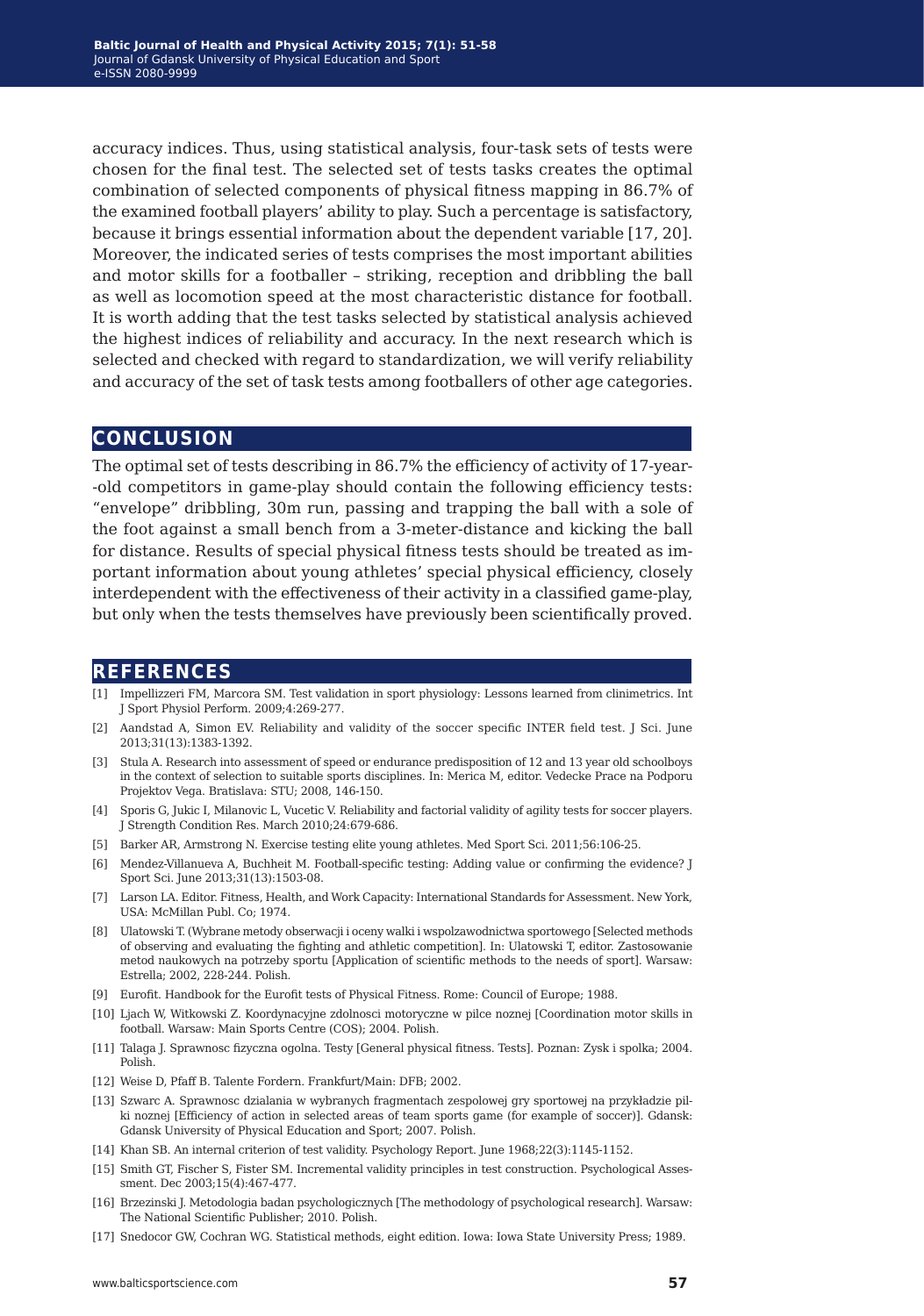accuracy indices. Thus, using statistical analysis, four-task sets of tests were chosen for the final test. The selected set of tests tasks creates the optimal combination of selected components of physical fitness mapping in 86.7% of the examined football players' ability to play. Such a percentage is satisfactory, because it brings essential information about the dependent variable [17, 20]. Moreover, the indicated series of tests comprises the most important abilities and motor skills for a footballer – striking, reception and dribbling the ball as well as locomotion speed at the most characteristic distance for football. It is worth adding that the test tasks selected by statistical analysis achieved the highest indices of reliability and accuracy. In the next research which is selected and checked with regard to standardization, we will verify reliability and accuracy of the set of task tests among footballers of other age categories.

#### **conclusion**

The optimal set of tests describing in 86.7% the efficiency of activity of 17-year- -old competitors in game-play should contain the following efficiency tests: "envelope" dribbling, 30m run, passing and trapping the ball with a sole of the foot against a small bench from a 3-meter-distance and kicking the ball for distance. Results of special physical fitness tests should be treated as important information about young athletes' special physical efficiency, closely interdependent with the effectiveness of their activity in a classified game-play, but only when the tests themselves have previously been scientifically proved.

#### **references**

- [1] Impellizzeri FM, Marcora SM. Test validation in sport physiology: Lessons learned from clinimetrics. Int J Sport Physiol Perform. 2009;4:269-277.
- [2] Aandstad A, Simon EV. Reliability and validity of the soccer specific INTER fıeld test. J Sci. June 2013;31(13):1383-1392.
- [3] Stula A. Research into assessment of speed or endurance predisposition of 12 and 13 year old schoolboys in the context of selection to suitable sports disciplines. In: Merica M, editor. Vedecke Prace na Podporu Projektov Vega. Bratislava: STU; 2008, 146-150.
- [4] Sporis G, Jukic I, Milanovic L, Vucetic V. Reliability and factorial validity of agility tests for soccer players. J Strength Condition Res. March 2010;24:679-686.
- [5] Barker AR, Armstrong N. Exercise testing elite young athletes. Med Sport Sci. 2011;56:106-25.
- [6] Mendez-Villanueva A, Buchheit M. Football-specific testing: Adding value or confirming the evidence? J Sport Sci. June 2013;31(13):1503-08.
- [7] Larson LA. Editor. Fitness, Health, and Work Capacity: International Standards for Assessment. New York, USA: McMillan Publ. Co; 1974.
- [8] Ulatowski T. (Wybrane metody obserwacji i oceny walki i wspolzawodnictwa sportowego [Selected methods of observing and evaluating the fighting and athletic competition]. In: Ulatowski T, editor. Zastosowanie metod naukowych na potrzeby sportu [Application of scientific methods to the needs of sport]. Warsaw: Estrella; 2002, 228-244. Polish.
- [9] Eurofit. Handbook for the Eurofit tests of Physical Fitness. Rome: Council of Europe; 1988.
- [10] Ljach W, Witkowski Z. Koordynacyjne zdolnosci motoryczne w pilce noznej [Coordination motor skills in football. Warsaw: Main Sports Centre (COS); 2004. Polish.
- [11] Talaga J. Sprawnosc fizyczna ogolna. Testy [General physical fitness. Tests]. Poznan: Zysk i spolka; 2004. Polish.
- [12] Weise D, Pfaff B. Talente Fordern. Frankfurt/Main: DFB; 2002.
- [13] Szwarc A. Sprawnosc dzialania w wybranych fragmentach zespolowej gry sportowej na przykładzie pilki noznej [Efficiency of action in selected areas of team sports game (for example of soccer)]. Gdansk: Gdansk University of Physical Education and Sport; 2007. Polish.
- [14] Khan SB. An internal criterion of test validity. Psychology Report. June 1968;22(3):1145-1152.
- [15] Smith GT, Fischer S, Fister SM. Incremental validity principles in test construction. Psychological Assessment. Dec 2003;15(4):467-477.
- [16] Brzezinski J. Metodologia badan psychologicznych [The methodology of psychological research]. Warsaw: The National Scientific Publisher; 2010. Polish.
- [17] Snedocor GW, Cochran WG. Statistical methods, eight edition. Iowa: Iowa State University Press; 1989.